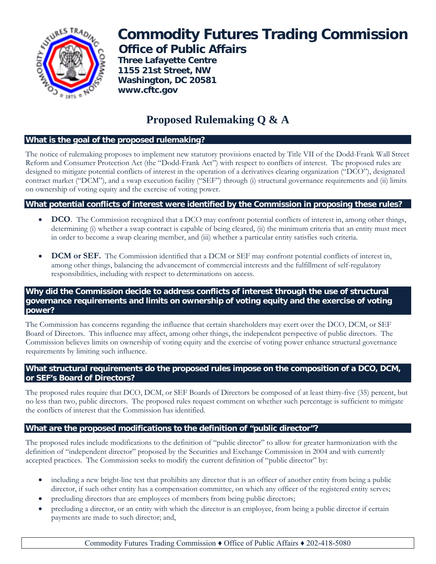

# **Commodity Futures Trading Commission Office of Public Affairs**

 **Three Lafayette Centre 1155 21st Street, NW Washington, DC 20581 www.cftc.gov**

# **Proposed Rulemaking Q & A**

# **What is the goal of the proposed rulemaking?**

The notice of rulemaking proposes to implement new statutory provisions enacted by Title VII of the Dodd-Frank Wall Street Reform and Consumer Protection Act (the "Dodd-Frank Act") with respect to conflicts of interest. The proposed rules are designed to mitigate potential conflicts of interest in the operation of a derivatives clearing organization ("DCO"), designated contract market ("DCM"), and a swap execution facility ("SEF") through (i) structural governance requirements and (ii) limits on ownership of voting equity and the exercise of voting power.

# **What potential conflicts of interest were identified by the Commission in proposing these rules?**

- **DCO**. The Commission recognized that a DCO may confront potential conflicts of interest in, among other things, determining (i) whether a swap contract is capable of being cleared, (ii) the minimum criteria that an entity must meet in order to become a swap clearing member, and (iii) whether a particular entity satisfies such criteria.
- **DCM or SEF.** The Commission identified that a DCM or SEF may confront potential conflicts of interest in, among other things, balancing the advancement of commercial interests and the fulfillment of self-regulatory responsibilities, including with respect to determinations on access.

#### **Why did the Commission decide to address conflicts of interest through the use of structural governance requirements and limits on ownership of voting equity and the exercise of voting power?**

The Commission has concerns regarding the influence that certain shareholders may exert over the DCO, DCM, or SEF Board of Directors. This influence may affect, among other things, the independent perspective of public directors. The Commission believes limits on ownership of voting equity and the exercise of voting power enhance structural governance requirements by limiting such influence.

# **What structural requirements do the proposed rules impose on the composition of a DCO, DCM, or SEF's Board of Directors?**

The proposed rules require that DCO, DCM, or SEF Boards of Directors be composed of at least thirty-five (35) percent, but no less than two, public directors. The proposed rules request comment on whether such percentage is sufficient to mitigate the conflicts of interest that the Commission has identified.

# **What are the proposed modifications to the definition of "public director"?**

The proposed rules include modifications to the definition of "public director" to allow for greater harmonization with the definition of "independent director" proposed by the Securities and Exchange Commission in 2004 and with currently accepted practices. The Commission seeks to modify the current definition of "public director" by:

- including a new bright-line test that prohibits any director that is an officer of another entity from being a public director, if such other entity has a compensation committee, on which any officer of the registered entity serves;
- precluding directors that are employees of members from being public directors;
- precluding a director, or an entity with which the director is an employee, from being a public director if certain payments are made to such director; and,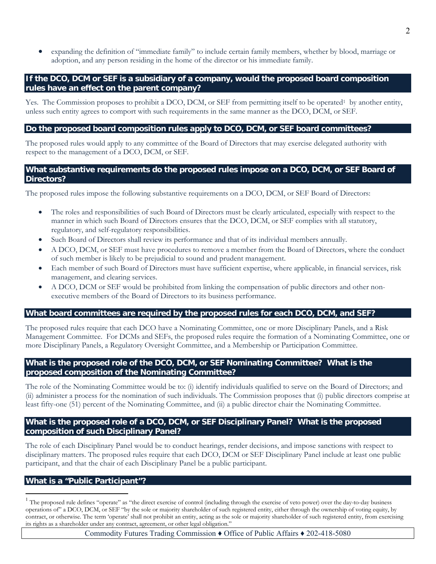• expanding the definition of "immediate family" to include certain family members, whether by blood, marriage or adoption, and any person residing in the home of the director or his immediate family.

#### **If the DCO, DCM or SEF is a subsidiary of a company, would the proposed board composition rules have an effect on the parent company?**

Yes. The Commission proposes to prohibit a DCO, DCM, or SEF from permitting itself to be operated<sup>1</sup> by another entity, unless such entity agrees to comport with such requirements in the same manner as the DCO, DCM, or SEF.

#### **Do the proposed board composition rules apply to DCO, DCM, or SEF board committees?**

The proposed rules would apply to any committee of the Board of Directors that may exercise delegated authority with respect to the management of a DCO, DCM, or SEF.

#### What substantive requirements do the proposed rules impose on a DCO, DCM, or SEF Board of **Directors?**

The proposed rules impose the following substantive requirements on a DCO, DCM, or SEF Board of Directors:

- The roles and responsibilities of such Board of Directors must be clearly articulated, especially with respect to the manner in which such Board of Directors ensures that the DCO, DCM, or SEF complies with all statutory, regulatory, and self-regulatory responsibilities.
- Such Board of Directors shall review its performance and that of its individual members annually.
- A DCO, DCM, or SEF must have procedures to remove a member from the Board of Directors, where the conduct of such member is likely to be prejudicial to sound and prudent management.
- Each member of such Board of Directors must have sufficient expertise, where applicable, in financial services, risk management, and clearing services.
- A DCO, DCM or SEF would be prohibited from linking the compensation of public directors and other nonexecutive members of the Board of Directors to its business performance.

#### **What board committees are required by the proposed rules for each DCO, DCM, and SEF?**

The proposed rules require that each DCO have a Nominating Committee, one or more Disciplinary Panels, and a Risk Management Committee. For DCMs and SEFs, the proposed rules require the formation of a Nominating Committee, one or more Disciplinary Panels, a Regulatory Oversight Committee, and a Membership or Participation Committee.

#### **What is the proposed role of the DCO, DCM, or SEF Nominating Committee? What is the proposed composition of the Nominating Committee?**

The role of the Nominating Committee would be to: (i) identify individuals qualified to serve on the Board of Directors; and (ii) administer a process for the nomination of such individuals. The Commission proposes that (i) public directors comprise at least fifty-one (51) percent of the Nominating Committee, and (ii) a public director chair the Nominating Committee.

#### **What is the proposed role of a DCO, DCM, or SEF Disciplinary Panel? What is the proposed composition of such Disciplinary Panel?**

The role of each Disciplinary Panel would be to conduct hearings, render decisions, and impose sanctions with respect to disciplinary matters. The proposed rules require that each DCO, DCM or SEF Disciplinary Panel include at least one public participant, and that the chair of each Disciplinary Panel be a public participant.

#### **What is a "Public Participant"?**

 $\overline{a}$ 

 $1$  The proposed rule defines "operate" as "the direct exercise of control (including through the exercise of veto power) over the day-to-day business operations of" a DCO, DCM, or SEF "by the sole or majority shareholder of such registered entity, either through the ownership of voting equity, by contract, or otherwise. The term 'operate' shall not prohibit an entity, acting as the sole or majority shareholder of such registered entity, from exercising its rights as a shareholder under any contract, agreement, or other legal obligation."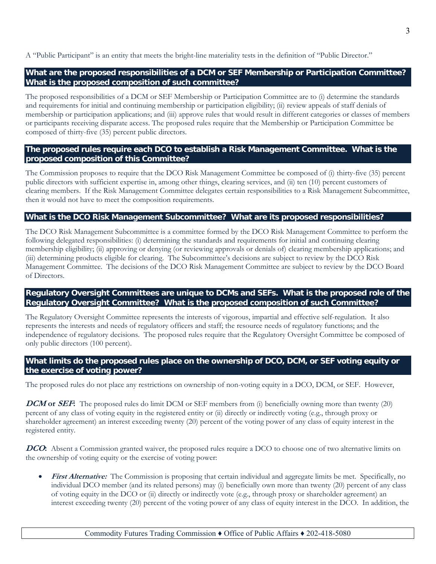A "Public Participant" is an entity that meets the bright-line materiality tests in the definition of "Public Director."

# **What are the proposed responsibilities of a DCM or SEF Membership or Participation Committee? What is the proposed composition of such committee?**

The proposed responsibilities of a DCM or SEF Membership or Participation Committee are to (i) determine the standards and requirements for initial and continuing membership or participation eligibility; (ii) review appeals of staff denials of membership or participation applications; and (iii) approve rules that would result in different categories or classes of members or participants receiving disparate access. The proposed rules require that the Membership or Participation Committee be composed of thirty-five (35) percent public directors.

# **The proposed rules require each DCO to establish a Risk Management Committee. What is the proposed composition of this Committee?**

The Commission proposes to require that the DCO Risk Management Committee be composed of (i) thirty-five (35) percent public directors with sufficient expertise in, among other things, clearing services, and (ii) ten (10) percent customers of clearing members. If the Risk Management Committee delegates certain responsibilities to a Risk Management Subcommittee, then it would not have to meet the composition requirements.

#### **What is the DCO Risk Management Subcommittee? What are its proposed responsibilities?**

The DCO Risk Management Subcommittee is a committee formed by the DCO Risk Management Committee to perform the following delegated responsibilities: (i) determining the standards and requirements for initial and continuing clearing membership eligibility; (ii) approving or denying (or reviewing approvals or denials of) clearing membership applications; and (iii) determining products eligible for clearing. The Subcommittee's decisions are subject to review by the DCO Risk Management Committee. The decisions of the DCO Risk Management Committee are subject to review by the DCO Board of Directors.

# **Regulatory Oversight Committees are unique to DCMs and SEFs. What is the proposed role of the Regulatory Oversight Committee? What is the proposed composition of such Committee?**

The Regulatory Oversight Committee represents the interests of vigorous, impartial and effective self-regulation. It also represents the interests and needs of regulatory officers and staff; the resource needs of regulatory functions; and the independence of regulatory decisions. The proposed rules require that the Regulatory Oversight Committee be composed of only public directors (100 percent).

# **What limits do the proposed rules place on the ownership of DCO, DCM, or SEF voting equity or the exercise of voting power?**

The proposed rules do not place any restrictions on ownership of non-voting equity in a DCO, DCM, or SEF. However,

**DCM** or **SEF**: The proposed rules do limit DCM or SEF members from (i) beneficially owning more than twenty (20) percent of any class of voting equity in the registered entity or (ii) directly or indirectly voting (e.g., through proxy or shareholder agreement) an interest exceeding twenty (20) percent of the voting power of any class of equity interest in the registered entity.

**DCO**: Absent a Commission granted waiver, the proposed rules require a DCO to choose one of two alternative limits on the ownership of voting equity or the exercise of voting power:

**First Alternative:** The Commission is proposing that certain individual and aggregate limits be met. Specifically, no individual DCO member (and its related persons) may (i) beneficially own more than twenty (20) percent of any class of voting equity in the DCO or (ii) directly or indirectly vote (e.g., through proxy or shareholder agreement) an interest exceeding twenty (20) percent of the voting power of any class of equity interest in the DCO. In addition, the